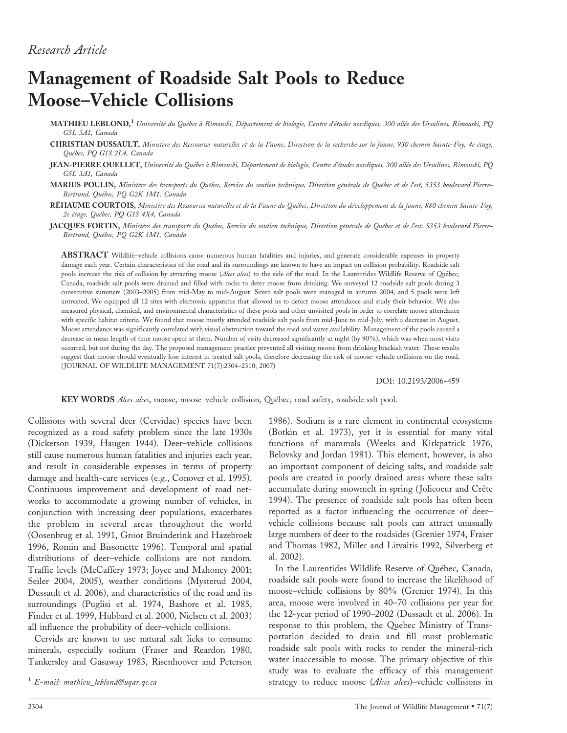# Management of Roadside Salt Pools to Reduce Moose–Vehicle Collisions

- MATHIEU LEBLOND,<sup>1</sup> Université du Québec à Rimouski, Département de biologie, Centre d'études nordiques, 300 allée des Ursulines, Rimouski, PQ G5L 3A1, Canada
- CHRISTIAN DUSSAULT, Ministère des Ressources naturelles et de la Faune, Direction de la recherche sur la faune, 930 chemin Sainte-Foy, 4e étage, Québec, PQ G1S 2L4, Canada
- JEAN-PIERRE OUELLET, Université du Québec à Rimouski, Département de biologie, Centre d'études nordiques, 300 allée des Ursulines, Rimouski, PQ G5L 3A1, Canada
- MARIUS POULIN, Ministère des transports du Québec, Service du soutien technique, Direction générale de Québec et de l'est, 5353 boulevard Pierre-Bertrand, Québec, PQ G2K 1M1, Canada
- RÉHAUME COURTOIS, Ministère des Ressources naturelles et de la Faune du Québec, Direction du développement de la faune, 880 chemin Sainte-Foy, 2e étage, Québec, PQ G1S 4X4, Canada
- JACQUES FORTIN, Ministère des transports du Québec, Service du soutien technique, Direction générale de Québec et de l'est, 5353 boulevard Pierre-Bertrand, Québec, PQ G2K 1M1, Canada

ABSTRACT Wildlife-vehicle collisions cause numerous human fatalities and injuries, and generate considerable expenses in property damage each year. Certain characteristics of the road and its surroundings are known to have an impact on collision probability. Roadside salt pools increase the risk of collision by attracting moose (Alces alces) to the side of the road. In the Laurentides Wildlife Reserve of Québec, Canada, roadside salt pools were drained and filled with rocks to deter moose from drinking. We surveyed 12 roadside salt pools during 3 consecutive summers (2003–2005) from mid-May to mid-August. Seven salt pools were managed in autumn 2004, and 5 pools were left untreated. We equipped all 12 sites with electronic apparatus that allowed us to detect moose attendance and study their behavior. We also measured physical, chemical, and environmental characteristics of these pools and other unvisited pools in order to correlate moose attendance with specific habitat criteria. We found that moose mostly attended roadside salt pools from mid-June to mid-July, with a decrease in August. Moose attendance was significantly correlated with visual obstruction toward the road and water availability. Management of the pools caused a decrease in mean length of time moose spent at them. Number of visits decreased significantly at night (by 90%), which was when most visits occurred, but not during the day. The proposed management practice prevented all visiting moose from drinking brackish water. These results suggest that moose should eventually lose interest in treated salt pools, therefore decreasing the risk of moose–vehicle collisions on the road. (JOURNAL OF WILDLIFE MANAGEMENT 71(7):2304–2310; 2007)

DOI: 10.2193/2006-459

#### KEY WORDS Alces alces, moose, moose-vehicle collision, Québec, road safety, roadside salt pool.

Collisions with several deer (Cervidae) species have been recognized as a road safety problem since the late 1930s (Dickerson 1939, Haugen 1944). Deer–vehicle collisions still cause numerous human fatalities and injuries each year, and result in considerable expenses in terms of property damage and health-care services (e.g., Conover et al. 1995). Continuous improvement and development of road networks to accommodate a growing number of vehicles, in conjunction with increasing deer populations, exacerbates the problem in several areas throughout the world (Oosenbrug et al. 1991, Groot Bruinderink and Hazebroek 1996, Romin and Bissonette 1996). Temporal and spatial distributions of deer–vehicle collisions are not random. Traffic levels (McCaffery 1973; Joyce and Mahoney 2001; Seiler 2004, 2005), weather conditions (Mysterud 2004, Dussault et al. 2006), and characteristics of the road and its surroundings (Puglisi et al. 1974, Bashore et al. 1985, Finder et al. 1999, Hubbard et al. 2000, Nielsen et al. 2003) all influence the probability of deer–vehicle collisions.

Cervids are known to use natural salt licks to consume minerals, especially sodium (Fraser and Reardon 1980, Tankersley and Gasaway 1983, Risenhoover and Peterson 1986). Sodium is a rare element in continental ecosystems (Botkin et al. 1973), yet it is essential for many vital functions of mammals (Weeks and Kirkpatrick 1976, Belovsky and Jordan 1981). This element, however, is also an important component of deicing salts, and roadside salt pools are created in poorly drained areas where these salts accumulate during snowmelt in spring (Jolicoeur and Crête 1994). The presence of roadside salt pools has often been reported as a factor influencing the occurrence of deer– vehicle collisions because salt pools can attract unusually large numbers of deer to the roadsides (Grenier 1974, Fraser and Thomas 1982, Miller and Litvaitis 1992, Silverberg et al. 2002).

In the Laurentides Wildlife Reserve of Québec, Canada, roadside salt pools were found to increase the likelihood of moose–vehicle collisions by 80% (Grenier 1974). In this area, moose were involved in 40–70 collisions per year for the 12-year period of 1990–2002 (Dussault et al. 2006). In response to this problem, the Quebec Ministry of Transportation decided to drain and fill most problematic roadside salt pools with rocks to render the mineral-rich water inaccessible to moose. The primary objective of this study was to evaluate the efficacy of this management  $s^1$  E-mail: mathieu\_leblond@uqar.qc.ca example of the strategy to reduce moose (Alces alces)–vehicle collisions in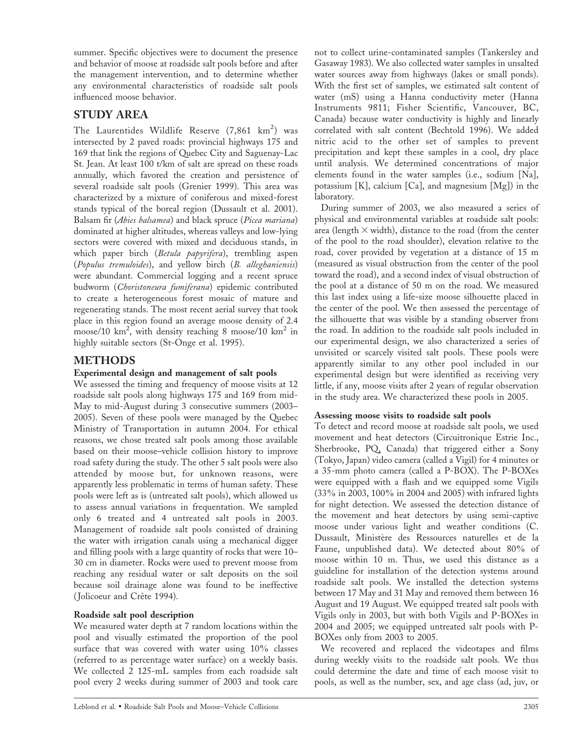summer. Specific objectives were to document the presence and behavior of moose at roadside salt pools before and after the management intervention, and to determine whether any environmental characteristics of roadside salt pools influenced moose behavior.

# STUDY AREA

The Laurentides Wildlife Reserve  $(7, 861 \text{ km}^2)$  was intersected by 2 paved roads: provincial highways 175 and 169 that link the regions of Quebec City and Saguenay-Lac St. Jean. At least 100 t/km of salt are spread on these roads annually, which favored the creation and persistence of several roadside salt pools (Grenier 1999). This area was characterized by a mixture of coniferous and mixed-forest stands typical of the boreal region (Dussault et al. 2001). Balsam fir (Abies balsamea) and black spruce (Picea mariana) dominated at higher altitudes, whereas valleys and low-lying sectors were covered with mixed and deciduous stands, in which paper birch (Betula papyrifera), trembling aspen (Populus tremuloides), and yellow birch (B. alleghaniensis) were abundant. Commercial logging and a recent spruce budworm (Choristoneura fumiferana) epidemic contributed to create a heterogeneous forest mosaic of mature and regenerating stands. The most recent aerial survey that took place in this region found an average moose density of 2.4 moose/10  $\text{km}^2$ , with density reaching 8 moose/10  $\text{km}^2$  in highly suitable sectors (St-Onge et al. 1995).

## METHODS

#### Experimental design and management of salt pools

We assessed the timing and frequency of moose visits at 12 roadside salt pools along highways 175 and 169 from mid-May to mid-August during 3 consecutive summers (2003– 2005). Seven of these pools were managed by the Quebec Ministry of Transportation in autumn 2004. For ethical reasons, we chose treated salt pools among those available based on their moose–vehicle collision history to improve road safety during the study. The other 5 salt pools were also attended by moose but, for unknown reasons, were apparently less problematic in terms of human safety. These pools were left as is (untreated salt pools), which allowed us to assess annual variations in frequentation. We sampled only 6 treated and 4 untreated salt pools in 2003. Management of roadside salt pools consisted of draining the water with irrigation canals using a mechanical digger and filling pools with a large quantity of rocks that were 10– 30 cm in diameter. Rocks were used to prevent moose from reaching any residual water or salt deposits on the soil because soil drainage alone was found to be ineffective (Jolicoeur and Crête 1994).

#### Roadside salt pool description

We measured water depth at 7 random locations within the pool and visually estimated the proportion of the pool surface that was covered with water using 10% classes (referred to as percentage water surface) on a weekly basis. We collected 2 125-mL samples from each roadside salt pool every 2 weeks during summer of 2003 and took care

not to collect urine-contaminated samples (Tankersley and Gasaway 1983). We also collected water samples in unsalted water sources away from highways (lakes or small ponds). With the first set of samples, we estimated salt content of water (mS) using a Hanna conductivity meter (Hanna Instruments 9811; Fisher Scientific, Vancouver, BC, Canada) because water conductivity is highly and linearly correlated with salt content (Bechtold 1996). We added nitric acid to the other set of samples to prevent precipitation and kept these samples in a cool, dry place until analysis. We determined concentrations of major elements found in the water samples (i.e., sodium [Na], potassium [K], calcium [Ca], and magnesium [Mg]) in the laboratory.

During summer of 2003, we also measured a series of physical and environmental variables at roadside salt pools: area (length  $\times$  width), distance to the road (from the center of the pool to the road shoulder), elevation relative to the road, cover provided by vegetation at a distance of 15 m (measured as visual obstruction from the center of the pool toward the road), and a second index of visual obstruction of the pool at a distance of 50 m on the road. We measured this last index using a life-size moose silhouette placed in the center of the pool. We then assessed the percentage of the silhouette that was visible by a standing observer from the road. In addition to the roadside salt pools included in our experimental design, we also characterized a series of unvisited or scarcely visited salt pools. These pools were apparently similar to any other pool included in our experimental design but were identified as receiving very little, if any, moose visits after 2 years of regular observation in the study area. We characterized these pools in 2005.

#### Assessing moose visits to roadside salt pools

To detect and record moose at roadside salt pools, we used movement and heat detectors (Circuitronique Estrie Inc., Sherbrooke, PQ, Canada) that triggered either a Sony (Tokyo, Japan) video camera (called a Vigil) for 4 minutes or a 35-mm photo camera (called a P-BOX). The P-BOXes were equipped with a flash and we equipped some Vigils (33% in 2003, 100% in 2004 and 2005) with infrared lights for night detection. We assessed the detection distance of the movement and heat detectors by using semi-captive moose under various light and weather conditions (C. Dussault, Ministère des Ressources naturelles et de la Faune, unpublished data). We detected about 80% of moose within 10 m. Thus, we used this distance as a guideline for installation of the detection systems around roadside salt pools. We installed the detection systems between 17 May and 31 May and removed them between 16 August and 19 August. We equipped treated salt pools with Vigils only in 2003, but with both Vigils and P-BOXes in 2004 and 2005; we equipped untreated salt pools with P-BOXes only from 2003 to 2005.

We recovered and replaced the videotapes and films during weekly visits to the roadside salt pools. We thus could determine the date and time of each moose visit to pools, as well as the number, sex, and age class (ad, juv, or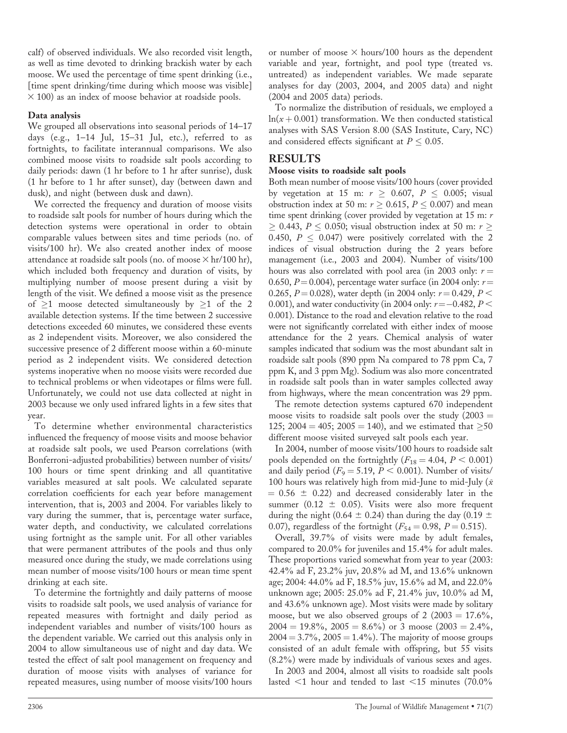calf) of observed individuals. We also recorded visit length, as well as time devoted to drinking brackish water by each moose. We used the percentage of time spent drinking (i.e., [time spent drinking/time during which moose was visible]  $\times$  100) as an index of moose behavior at roadside pools.

#### Data analysis

We grouped all observations into seasonal periods of 14–17 days (e.g., 1–14 Jul, 15–31 Jul, etc.), referred to as fortnights, to facilitate interannual comparisons. We also combined moose visits to roadside salt pools according to daily periods: dawn (1 hr before to 1 hr after sunrise), dusk (1 hr before to 1 hr after sunset), day (between dawn and dusk), and night (between dusk and dawn).

We corrected the frequency and duration of moose visits to roadside salt pools for number of hours during which the detection systems were operational in order to obtain comparable values between sites and time periods (no. of visits/100 hr). We also created another index of moose attendance at roadside salt pools (no. of moose  $\times$  hr/100 hr), which included both frequency and duration of visits, by multiplying number of moose present during a visit by length of the visit. We defined a moose visit as the presence of  $\geq$ 1 moose detected simultaneously by  $\geq$ 1 of the 2 available detection systems. If the time between 2 successive detections exceeded 60 minutes, we considered these events as 2 independent visits. Moreover, we also considered the successive presence of 2 different moose within a 60-minute period as 2 independent visits. We considered detection systems inoperative when no moose visits were recorded due to technical problems or when videotapes or films were full. Unfortunately, we could not use data collected at night in 2003 because we only used infrared lights in a few sites that year.

To determine whether environmental characteristics influenced the frequency of moose visits and moose behavior at roadside salt pools, we used Pearson correlations (with Bonferroni-adjusted probabilities) between number of visits/ 100 hours or time spent drinking and all quantitative variables measured at salt pools. We calculated separate correlation coefficients for each year before management intervention, that is, 2003 and 2004. For variables likely to vary during the summer, that is, percentage water surface, water depth, and conductivity, we calculated correlations using fortnight as the sample unit. For all other variables that were permanent attributes of the pools and thus only measured once during the study, we made correlations using mean number of moose visits/100 hours or mean time spent drinking at each site.

To determine the fortnightly and daily patterns of moose visits to roadside salt pools, we used analysis of variance for repeated measures with fortnight and daily period as independent variables and number of visits/100 hours as the dependent variable. We carried out this analysis only in 2004 to allow simultaneous use of night and day data. We tested the effect of salt pool management on frequency and duration of moose visits with analyses of variance for repeated measures, using number of moose visits/100 hours or number of moose  $\times$  hours/100 hours as the dependent variable and year, fortnight, and pool type (treated vs. untreated) as independent variables. We made separate analyses for day (2003, 2004, and 2005 data) and night (2004 and 2005 data) periods.

To normalize the distribution of residuals, we employed a  $ln(x + 0.001)$  transformation. We then conducted statistical analyses with SAS Version 8.00 (SAS Institute, Cary, NC) and considered effects significant at  $P \leq 0.05$ .

## RESULTS

#### Moose visits to roadside salt pools

Both mean number of moose visits/100 hours (cover provided by vegetation at 15 m:  $r \geq 0.607$ ,  $P \leq 0.005$ ; visual obstruction index at 50 m:  $r \ge 0.615$ ,  $P \le 0.007$ ) and mean time spent drinking (cover provided by vegetation at 15 m: r  $\geq$  0.443,  $P \leq$  0.050; visual obstruction index at 50 m:  $r \geq$ 0.450,  $P \leq 0.047$ ) were positively correlated with the 2 indices of visual obstruction during the 2 years before management (i.e., 2003 and 2004). Number of visits/100 hours was also correlated with pool area (in 2003 only:  $r =$ 0.650,  $P = 0.004$ ), percentage water surface (in 2004 only:  $r =$ 0.265,  $P = 0.028$ ), water depth (in 2004 only:  $r = 0.429$ ,  $P <$ 0.001), and water conductivity (in 2004 only:  $r = -0.482$ ,  $P <$ 0.001). Distance to the road and elevation relative to the road were not significantly correlated with either index of moose attendance for the 2 years. Chemical analysis of water samples indicated that sodium was the most abundant salt in roadside salt pools (890 ppm Na compared to 78 ppm Ca, 7 ppm K, and 3 ppm Mg). Sodium was also more concentrated in roadside salt pools than in water samples collected away from highways, where the mean concentration was 29 ppm.

The remote detection systems captured 670 independent moose visits to roadside salt pools over the study  $(2003 =$ 125; 2004 = 405; 2005 = 140), and we estimated that  $\geq 50$ different moose visited surveyed salt pools each year.

In 2004, number of moose visits/100 hours to roadside salt pools depended on the fortnightly  $(F_{18} = 4.04, P < 0.001)$ and daily period ( $F_9 = 5.19$ ,  $P < 0.001$ ). Number of visits/ 100 hours was relatively high from mid-June to mid-July ( $\bar{x}$  $= 0.56 \pm 0.22$ ) and decreased considerably later in the summer (0.12  $\pm$  0.05). Visits were also more frequent during the night (0.64  $\pm$  0.24) than during the day (0.19  $\pm$ 0.07), regardless of the fortnight  $(F_{54} = 0.98, P = 0.515)$ .

Overall, 39.7% of visits were made by adult females, compared to 20.0% for juveniles and 15.4% for adult males. These proportions varied somewhat from year to year (2003: 42.4% ad F, 23.2% juv, 20.8% ad M, and 13.6% unknown age; 2004: 44.0% ad F, 18.5% juv, 15.6% ad M, and 22.0% unknown age; 2005: 25.0% ad F, 21.4% juv, 10.0% ad M, and 43.6% unknown age). Most visits were made by solitary moose, but we also observed groups of  $2$  (2003 = 17.6%,  $2004 = 19.8\%, 2005 = 8.6\%$  or 3 moose  $(2003 = 2.4\%,$  $2004 = 3.7\%$ ,  $2005 = 1.4\%$ ). The majority of moose groups consisted of an adult female with offspring, but 55 visits (8.2%) were made by individuals of various sexes and ages.

In 2003 and 2004, almost all visits to roadside salt pools lasted  $\leq$ 1 hour and tended to last  $\leq$ 15 minutes (70.0%)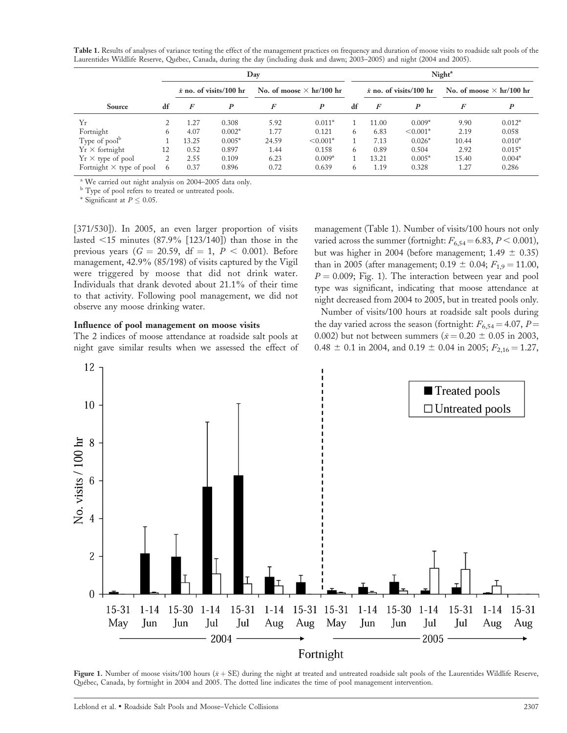|                                 | Day |                                |          |                                 |            | Night <sup>a</sup> |                                |                  |                                 |          |
|---------------------------------|-----|--------------------------------|----------|---------------------------------|------------|--------------------|--------------------------------|------------------|---------------------------------|----------|
|                                 |     | $\bar{x}$ no. of visits/100 hr |          | No. of moose $\times$ hr/100 hr |            |                    | $\bar{x}$ no. of visits/100 hr |                  | No. of moose $\times$ hr/100 hr |          |
| Source                          | df  | F                              | P        | F                               | P          | df                 | F                              | $\boldsymbol{p}$ | F                               | P        |
| Yr                              |     | 1.27                           | 0.308    | 5.92                            | $0.011*$   |                    | 11.00                          | $0.009*$         | 9.90                            | $0.012*$ |
| Fortnight                       | 6   | 4.07                           | $0.002*$ | 1.77                            | 0.121      | 6                  | 6.83                           | $< 0.001*$       | 2.19                            | 0.058    |
| Type of pool <sup>b</sup>       |     | 13.25                          | $0.005*$ | 24.59                           | $< 0.001*$ |                    | 7.13                           | $0.026*$         | 10.44                           | $0.010*$ |
| $Y_r \times$ fortnight          | 12  | 0.52                           | 0.897    | 1.44                            | 0.158      | 6                  | 0.89                           | 0.504            | 2.92                            | $0.015*$ |
| $Yr \times$ type of pool        |     | 2.55                           | 0.109    | 6.23                            | $0.009*$   |                    | 13.21                          | $0.005*$         | 15.40                           | $0.004*$ |
| Fortnight $\times$ type of pool | 6   | 0.37                           | 0.896    | 0.72                            | 0.639      | h                  | 1.19                           | 0.328            | 1.27                            | 0.286    |

Table 1. Results of analyses of variance testing the effect of the management practices on frequency and duration of moose visits to roadside salt pools of the Laurentides Wildlife Reserve, Québec, Canada, during the day (including dusk and dawn; 2003–2005) and night (2004 and 2005).

We carried out night analysis on 2004–2005 data only.

<sup>b</sup> Type of pool refers to treated or untreated pools.

\* Significant at  $P \leq 0.05$ .

[371/530]). In 2005, an even larger proportion of visits lasted  $\leq$  15 minutes (87.9% [123/140]) than those in the previous years  $(G = 20.59, df = 1, P < 0.001)$ . Before management, 42.9% (85/198) of visits captured by the Vigil were triggered by moose that did not drink water. Individuals that drank devoted about 21.1% of their time to that activity. Following pool management, we did not observe any moose drinking water.

#### Influence of pool management on moose visits

The 2 indices of moose attendance at roadside salt pools at night gave similar results when we assessed the effect of

management (Table 1). Number of visits/100 hours not only varied across the summer (fortnight:  $F_{6,54} = 6.83, P < 0.001$ ), but was higher in 2004 (before management;  $1.49 \pm 0.35$ ) than in 2005 (after management;  $0.19 \pm 0.04$ ;  $F_{1,9} = 11.00$ ,  $P = 0.009$ ; Fig. 1). The interaction between year and pool type was significant, indicating that moose attendance at night decreased from 2004 to 2005, but in treated pools only.

Number of visits/100 hours at roadside salt pools during the day varied across the season (fortnight:  $F_{6,54} = 4.07$ ,  $P =$ 0.002) but not between summers ( $\bar{x} = 0.20 \pm 0.05$  in 2003, 0.48  $\pm$  0.1 in 2004, and 0.19  $\pm$  0.04 in 2005;  $F_{2,16} = 1.27$ ,



Figure 1. Number of moose visits/100 hours  $(\dot{x} + \text{SE})$  during the night at treated and untreated roadside salt pools of the Laurentides Wildlife Reserve, Québec, Canada, by fortnight in 2004 and 2005. The dotted line indicates the time of pool management intervention.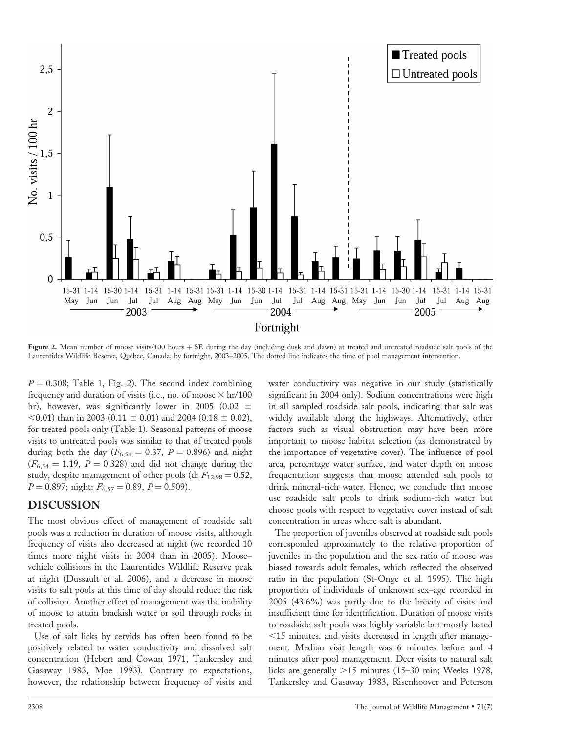

Figure 2. Mean number of moose visits/100 hours + SE during the day (including dusk and dawn) at treated and untreated roadside salt pools of the Laurentides Wildlife Reserve, Québec, Canada, by fortnight, 2003–2005. The dotted line indicates the time of pool management intervention.

 $P = 0.308$ ; Table 1, Fig. 2). The second index combining frequency and duration of visits (i.e., no. of moose  $\times$  hr/100 hr), however, was significantly lower in 2005 (0.02  $\pm$  $(0.01)$  than in 2003 (0.11  $\pm$  0.01) and 2004 (0.18  $\pm$  0.02), for treated pools only (Table 1). Seasonal patterns of moose visits to untreated pools was similar to that of treated pools during both the day ( $F_{6,54} = 0.37$ ,  $P = 0.896$ ) and night  $(F_{6,54} = 1.19, P = 0.328)$  and did not change during the study, despite management of other pools (d:  $F_{12,98} = 0.52$ ,  $P = 0.897$ ; night:  $F_{6,57} = 0.89$ ,  $P = 0.509$ ).

## DISCUSSION

The most obvious effect of management of roadside salt pools was a reduction in duration of moose visits, although frequency of visits also decreased at night (we recorded 10 times more night visits in 2004 than in 2005). Moose– vehicle collisions in the Laurentides Wildlife Reserve peak at night (Dussault et al. 2006), and a decrease in moose visits to salt pools at this time of day should reduce the risk of collision. Another effect of management was the inability of moose to attain brackish water or soil through rocks in treated pools.

Use of salt licks by cervids has often been found to be positively related to water conductivity and dissolved salt concentration (Hebert and Cowan 1971, Tankersley and Gasaway 1983, Moe 1993). Contrary to expectations, however, the relationship between frequency of visits and water conductivity was negative in our study (statistically significant in 2004 only). Sodium concentrations were high in all sampled roadside salt pools, indicating that salt was widely available along the highways. Alternatively, other factors such as visual obstruction may have been more important to moose habitat selection (as demonstrated by the importance of vegetative cover). The influence of pool area, percentage water surface, and water depth on moose frequentation suggests that moose attended salt pools to drink mineral-rich water. Hence, we conclude that moose use roadside salt pools to drink sodium-rich water but choose pools with respect to vegetative cover instead of salt concentration in areas where salt is abundant.

The proportion of juveniles observed at roadside salt pools corresponded approximately to the relative proportion of juveniles in the population and the sex ratio of moose was biased towards adult females, which reflected the observed ratio in the population (St-Onge et al. 1995). The high proportion of individuals of unknown sex–age recorded in 2005 (43.6%) was partly due to the brevity of visits and insufficient time for identification. Duration of moose visits to roadside salt pools was highly variable but mostly lasted  $<$ 15 minutes, and visits decreased in length after management. Median visit length was 6 minutes before and 4 minutes after pool management. Deer visits to natural salt licks are generally  $>15$  minutes (15–30 min; Weeks 1978, Tankersley and Gasaway 1983, Risenhoover and Peterson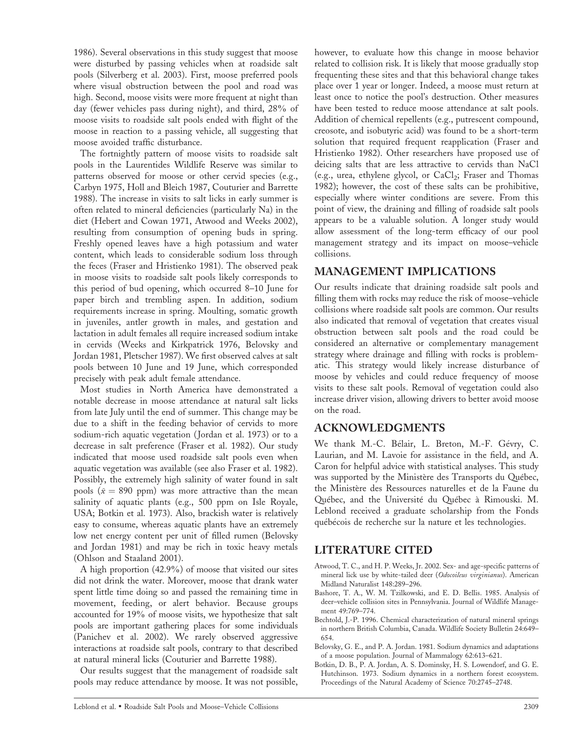1986). Several observations in this study suggest that moose were disturbed by passing vehicles when at roadside salt pools (Silverberg et al. 2003). First, moose preferred pools where visual obstruction between the pool and road was high. Second, moose visits were more frequent at night than day (fewer vehicles pass during night), and third, 28% of moose visits to roadside salt pools ended with flight of the moose in reaction to a passing vehicle, all suggesting that moose avoided traffic disturbance.

The fortnightly pattern of moose visits to roadside salt pools in the Laurentides Wildlife Reserve was similar to patterns observed for moose or other cervid species (e.g., Carbyn 1975, Holl and Bleich 1987, Couturier and Barrette 1988). The increase in visits to salt licks in early summer is often related to mineral deficiencies (particularly Na) in the diet (Hebert and Cowan 1971, Atwood and Weeks 2002), resulting from consumption of opening buds in spring. Freshly opened leaves have a high potassium and water content, which leads to considerable sodium loss through the feces (Fraser and Hristienko 1981). The observed peak in moose visits to roadside salt pools likely corresponds to this period of bud opening, which occurred 8–10 June for paper birch and trembling aspen. In addition, sodium requirements increase in spring. Moulting, somatic growth in juveniles, antler growth in males, and gestation and lactation in adult females all require increased sodium intake in cervids (Weeks and Kirkpatrick 1976, Belovsky and Jordan 1981, Pletscher 1987). We first observed calves at salt pools between 10 June and 19 June, which corresponded precisely with peak adult female attendance.

Most studies in North America have demonstrated a notable decrease in moose attendance at natural salt licks from late July until the end of summer. This change may be due to a shift in the feeding behavior of cervids to more sodium-rich aquatic vegetation (Jordan et al. 1973) or to a decrease in salt preference (Fraser et al. 1982). Our study indicated that moose used roadside salt pools even when aquatic vegetation was available (see also Fraser et al. 1982). Possibly, the extremely high salinity of water found in salt pools ( $\bar{x}$  = 890 ppm) was more attractive than the mean salinity of aquatic plants (e.g., 500 ppm on Isle Royale, USA; Botkin et al. 1973). Also, brackish water is relatively easy to consume, whereas aquatic plants have an extremely low net energy content per unit of filled rumen (Belovsky and Jordan 1981) and may be rich in toxic heavy metals (Ohlson and Staaland 2001).

A high proportion (42.9%) of moose that visited our sites did not drink the water. Moreover, moose that drank water spent little time doing so and passed the remaining time in movement, feeding, or alert behavior. Because groups accounted for 19% of moose visits, we hypothesize that salt pools are important gathering places for some individuals (Panichev et al. 2002). We rarely observed aggressive interactions at roadside salt pools, contrary to that described at natural mineral licks (Couturier and Barrette 1988).

Our results suggest that the management of roadside salt pools may reduce attendance by moose. It was not possible,

however, to evaluate how this change in moose behavior related to collision risk. It is likely that moose gradually stop frequenting these sites and that this behavioral change takes place over 1 year or longer. Indeed, a moose must return at least once to notice the pool's destruction. Other measures have been tested to reduce moose attendance at salt pools. Addition of chemical repellents (e.g., putrescent compound, creosote, and isobutyric acid) was found to be a short-term solution that required frequent reapplication (Fraser and Hristienko 1982). Other researchers have proposed use of deicing salts that are less attractive to cervids than NaCl (e.g., urea, ethylene glycol, or  $CaCl<sub>2</sub>$ ; Fraser and Thomas 1982); however, the cost of these salts can be prohibitive, especially where winter conditions are severe. From this point of view, the draining and filling of roadside salt pools appears to be a valuable solution. A longer study would allow assessment of the long-term efficacy of our pool management strategy and its impact on moose–vehicle collisions.

## MANAGEMENT IMPLICATIONS

Our results indicate that draining roadside salt pools and filling them with rocks may reduce the risk of moose–vehicle collisions where roadside salt pools are common. Our results also indicated that removal of vegetation that creates visual obstruction between salt pools and the road could be considered an alternative or complementary management strategy where drainage and filling with rocks is problematic. This strategy would likely increase disturbance of moose by vehicles and could reduce frequency of moose visits to these salt pools. Removal of vegetation could also increase driver vision, allowing drivers to better avoid moose on the road.

## ACKNOWLEDGMENTS

We thank M.-C. Bélair, L. Breton, M.-F. Gévry, C. Laurian, and M. Lavoie for assistance in the field, and A. Caron for helpful advice with statistical analyses. This study was supported by the Ministère des Transports du Québec, the Ministère des Ressources naturelles et de la Faune du Québec, and the Université du Québec à Rimouski. M. Leblond received a graduate scholarship from the Fonds québécois de recherche sur la nature et les technologies.

## LITERATURE CITED

- Atwood, T. C., and H. P. Weeks, Jr. 2002. Sex- and age-specific patterns of mineral lick use by white-tailed deer (Odocoileus virginianus). American Midland Naturalist 148:289–296.
- Bashore, T. A., W. M. Tzilkowski, and E. D. Bellis. 1985. Analysis of deer–vehicle collision sites in Pennsylvania. Journal of Wildlife Management 49:769–774.
- Bechtold, J.-P. 1996. Chemical characterization of natural mineral springs in northern British Columbia, Canada. Wildlife Society Bulletin 24:649– 654.
- Belovsky, G. E., and P. A. Jordan. 1981. Sodium dynamics and adaptations of a moose population. Journal of Mammalogy 62:613–621.
- Botkin, D. B., P. A. Jordan, A. S. Dominsky, H. S. Lowendorf, and G. E. Hutchinson. 1973. Sodium dynamics in a northern forest ecosystem. Proceedings of the Natural Academy of Science 70:2745–2748.